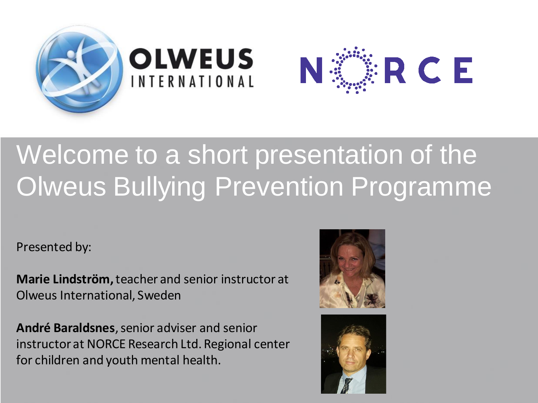

### Welcome to a short presentation of the Olweus Bullying Prevention Programme

Presented by:

**Marie Lindström,** teacher and senior instructor at Olweus International, Sweden

**André Baraldsnes**, senior adviser and senior instructor at NORCE Research Ltd. Regional center for children and youth mental health.



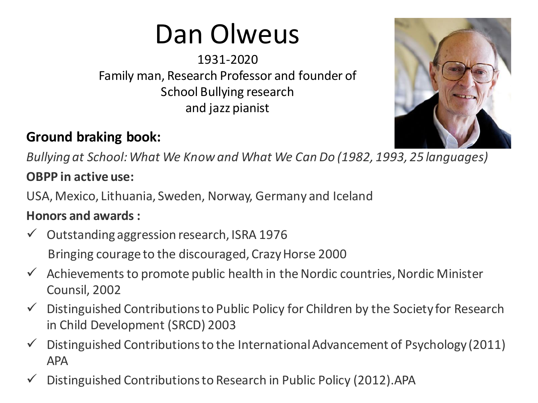### Dan Olweus

1931-2020 Family man, Research Professor and founder of School Bullying research and jazz pianist

### **Ground braking book:**

*Bullying at School: What We Know and What We Can Do (1982, 1993, 25 languages)*

#### **OBPP in active use:**

USA, Mexico, Lithuania, Sweden, Norway, Germany and Iceland

#### **Honors and awards:**

- $\checkmark$  Outstanding aggression research, ISRA 1976 Bringing courage to the discouraged, Crazy Horse 2000
- $\checkmark$  Achievements to promote public health in the Nordic countries, Nordic Minister Counsil, 2002
- $\checkmark$  Distinguished Contributions to Public Policy for Children by the Society for Research in Child Development (SRCD) 2003
- $\checkmark$  Distinguished Contributions to the International Advancement of Psychology (2011) APA
- Distinguished Contributions to Research in Public Policy (2012).APA

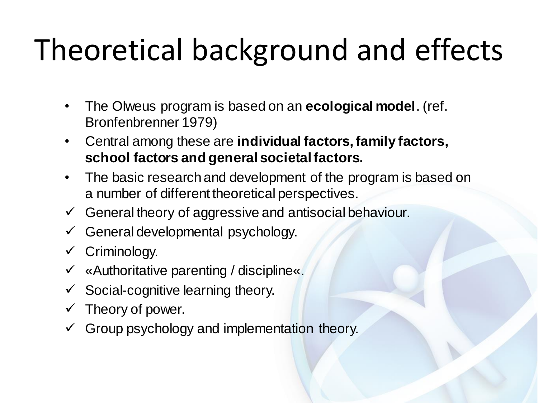# Theoretical background and effects

- The Olweus program is based on an **ecological model**. (ref. Bronfenbrenner 1979)
- Central among these are **individual factors, family factors, school factors and general societal factors.**
- The basic research and development of the program is based on a number of different theoretical perspectives.
- $\checkmark$  General theory of aggressive and antisocial behaviour.
- $\checkmark$  General developmental psychology.
- $\checkmark$  Criminology.
- «Authoritative parenting / discipline«.
- Social-cognitive learning theory.
- Theory of power.
- $\checkmark$  Group psychology and implementation theory.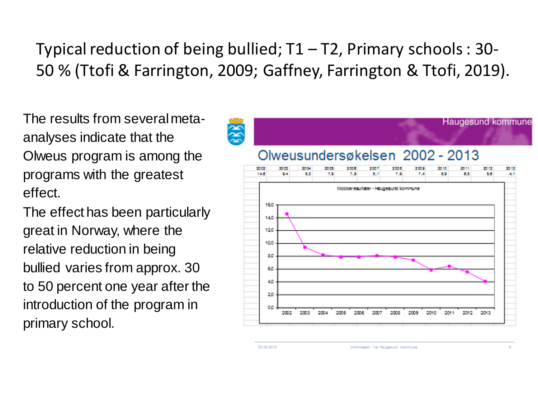Typical reduction of being bullied;  $T1 - T2$ , Primary schools : 30-50 % (Ttofi & Farrington, 2009; Gaffney, Farrington & Ttofi, 2019).

The results from several metaanalyses indicate that the Olweus program is among the programs with the greatest effect.

The effect has been particularly great in Norway, where the relative reduction in being bullied varies from approx. 30 to 50 percent one year after the introduction of the program in primary school.

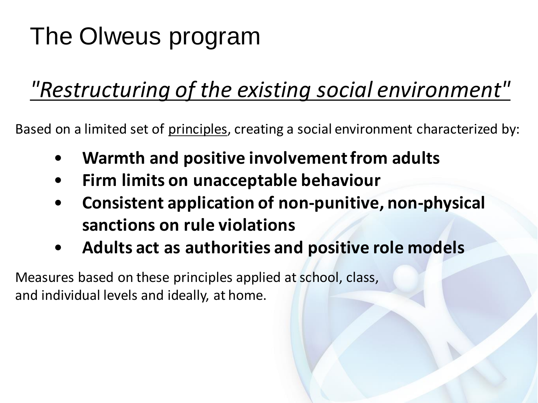### The Olweus program

### *"Restructuring of the existing social environment"*

Based on a limited set of principles, creating a social environment characterized by:

- **Warmth and positive involvement from adults**
- **Firm limits on unacceptable behaviour**
- **Consistent application of non-punitive, non-physical sanctions on rule violations**
- **Adults act as authorities and positive role models**

Measures based on these principles applied at school, class, and individual levels and ideally, at home.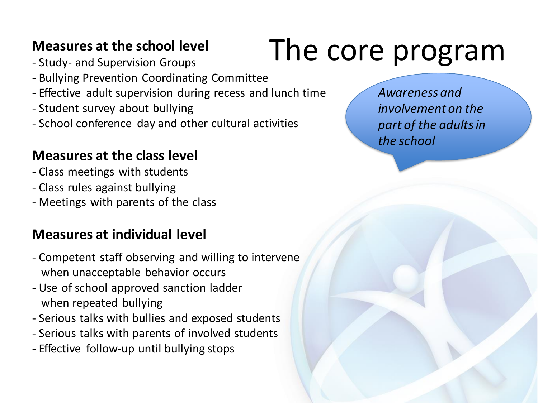#### **Measures at the school level**

- Study- and Supervision Groups
- Bullying Prevention Coordinating Committee
- Effective adult supervision during recess and lunch time
- Student survey about bullying
- School conference day and other cultural activities

#### **Measures at the class level**

- Class meetings with students
- Class rules against bullying
- Meetings with parents of the class

#### **Measures at individual level**

- Competent staff observing and willing to intervene when unacceptable behavior occurs
- Use of school approved sanction ladder when repeated bullying
- Serious talks with bullies and exposed students
- Serious talks with parents of involved students
- Effective follow-up until bullying stops

### The core program

*Awareness and involvement on the part of the adults in the school*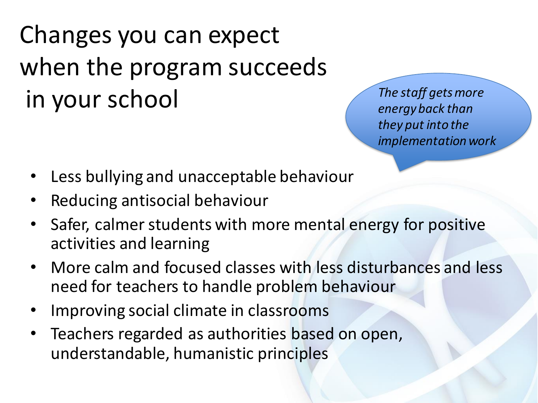Changes you can expect when the program succeeds in your school *The staff getsmore* 

*energyback than they put into the implementationwork*

- Less bullying and unacceptable behaviour
- Reducing antisocial behaviour
- Safer, calmer students with more mental energy for positive activities and learning
- More calm and focused classes with less disturbances and less need for teachers to handle problem behaviour
- Improving social climate in classrooms
- Teachers regarded as authorities based on open, understandable, humanistic principles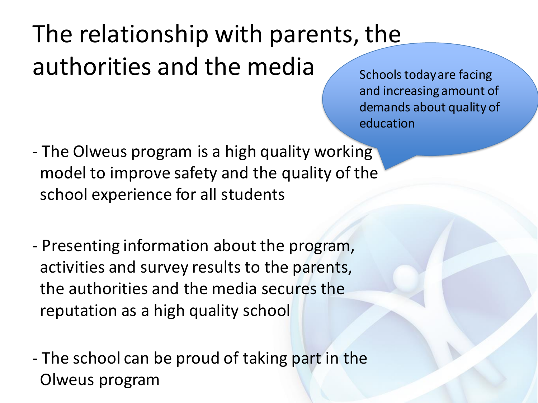### The relationship with parents, the authorities and the media schools today are facing

and increasing amount of demands about quality of education

- The Olweus program is a high quality working model to improve safety and the quality of the school experience for all students
- Presenting information about the program, activities and survey results to the parents, the authorities and the media secures the reputation as a high quality school
- The school can be proud of taking part in the Olweus program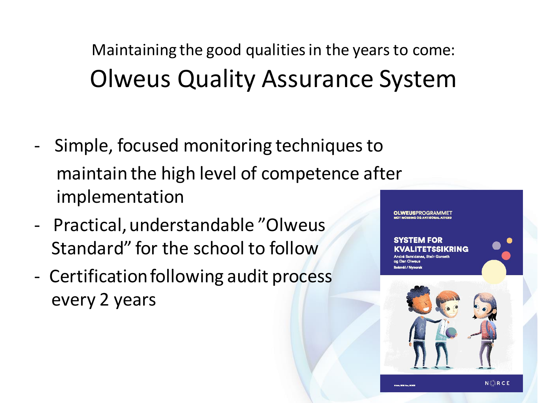Maintaining the good qualities in the years to come: Olweus Quality Assurance System

- Simple, focused monitoring techniques to maintain the high level of competence after implementation
- Practical, understandable "Olweus Standard" for the school to follow
- Certification following audit process every 2 years

**OLWEUSPROGRAMMET** 

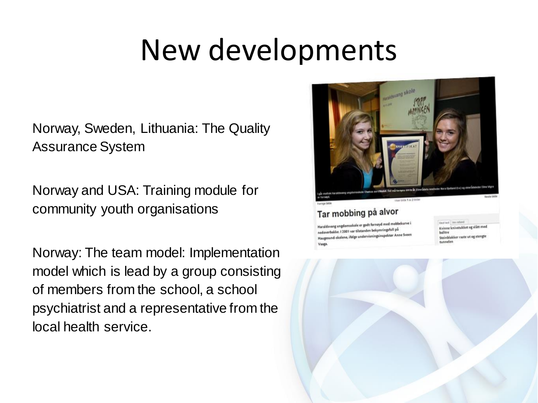### New developments

Norway, Sweden, Lithuania: The Quality Assurance System

Norway and USA: Training module for community youth organisations

Norway: The team model: Implementation model which is lead by a group consisting of members from the school, a school psychiatrist and a representative from the local health service.



#### Tar mobbing på alvor

Haraldsvang ungdomsskole er godt fornøyd med mobbekurve i nedoverbakke. I 2001 var tilstanden bekymringsfull på nedoverpakke. I 2001 folge undervisningsinspektor Anne Sveet Vaaga

**Mest lept | Includent** Kvinne knivstukket og slått med halltre Steinblokker raste ut og stengte

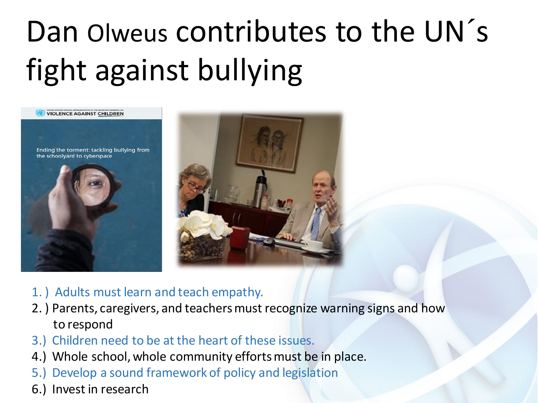# Dan Olweus contributes to the UN's fight against bullying





- 1. ) Adults must learn and teach empathy.
- 2. ) Parents, caregivers, and teachers must recognize warning signs and how to respond
- 3.) Children need to be at the heart of these issues.
- 4.) Whole school, whole community efforts must be in place.
- 5.) Develop a sound framework of policy and legislation
- 6.) Invest in research